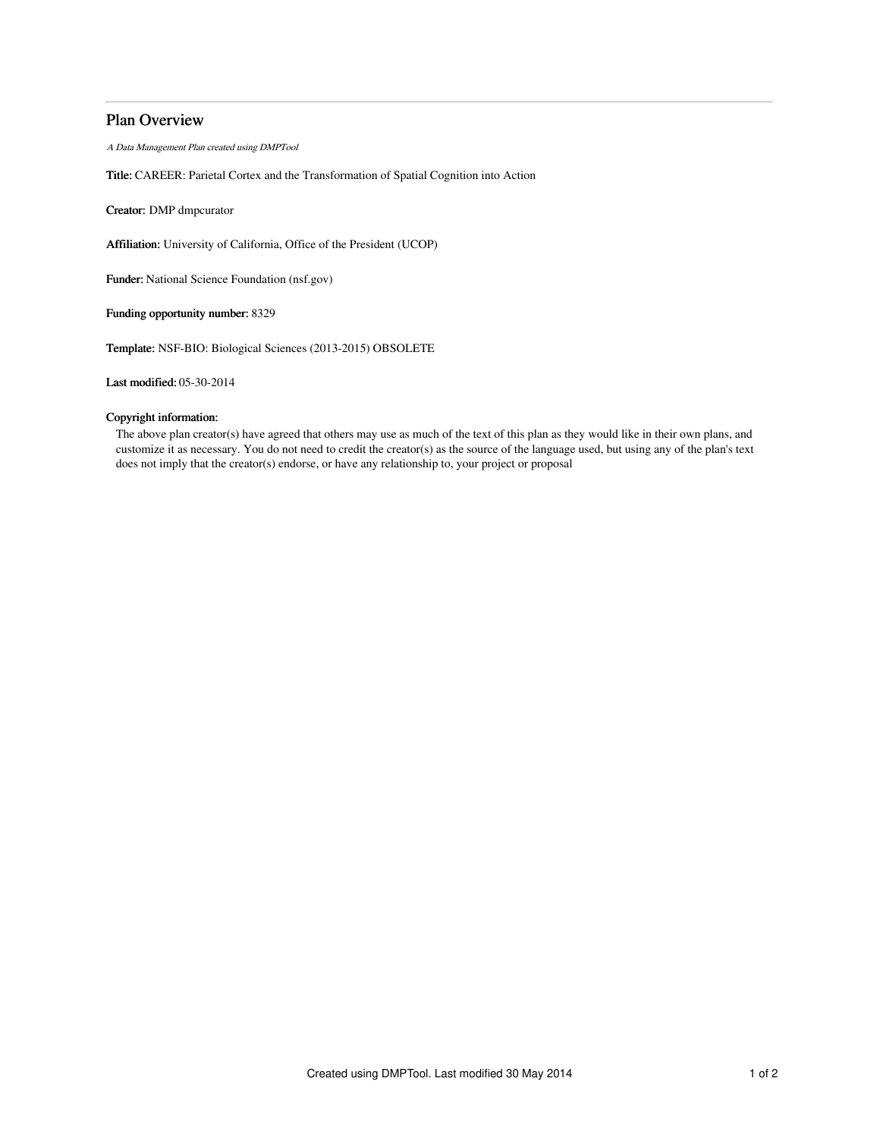# Plan Overview

A Data Management Plan created using DMPTool

Title: CAREER: Parietal Cortex and the Transformation of Spatial Cognition into Action

Creator: DMP dmpcurator

Affiliation: University of California, Office of the President (UCOP)

Funder: National Science Foundation (nsf.gov)

Funding opportunity number: 8329

Template: NSF-BIO: Biological Sciences (2013-2015) OBSOLETE

Last modified: 05-30-2014

## Copyright information:

The above plan creator(s) have agreed that others may use as much of the text of this plan as they would like in their own plans, and customize it as necessary. You do not need to credit the creator(s) as the source of the language used, but using any of the plan's text does not imply that the creator(s) endorse, or have any relationship to, your project or proposal